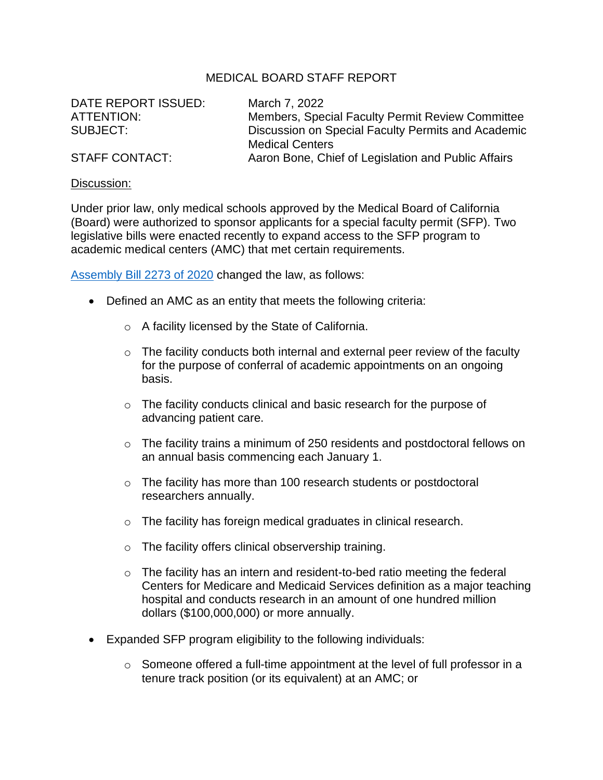## MEDICAL BOARD STAFF REPORT

| DATE REPORT ISSUED:   | March 7, 2022                                                                |
|-----------------------|------------------------------------------------------------------------------|
| ATTENTION:            | Members, Special Faculty Permit Review Committee                             |
| SUBJECT:              | Discussion on Special Faculty Permits and Academic<br><b>Medical Centers</b> |
| <b>STAFF CONTACT:</b> | Aaron Bone, Chief of Legislation and Public Affairs                          |

## Discussion:

Under prior law, only medical schools approved by the Medical Board of California (Board) were authorized to sponsor applicants for a special faculty permit (SFP). Two legislative bills were enacted recently to expand access to the SFP program to academic medical centers (AMC) that met certain requirements.

[Assembly Bill 2273 of 2020](https://leginfo.legislature.ca.gov/faces/billTextClient.xhtml?bill_id=201920200AB2273) changed the law, as follows:

- Defined an AMC as an entity that meets the following criteria:
	- o A facility licensed by the State of California.
	- $\circ$  The facility conducts both internal and external peer review of the faculty for the purpose of conferral of academic appointments on an ongoing basis.
	- o The facility conducts clinical and basic research for the purpose of advancing patient care.
	- o The facility trains a minimum of 250 residents and postdoctoral fellows on an annual basis commencing each January 1.
	- o The facility has more than 100 research students or postdoctoral researchers annually.
	- o The facility has foreign medical graduates in clinical research.
	- o The facility offers clinical observership training.
	- $\circ$  The facility has an intern and resident-to-bed ratio meeting the federal Centers for Medicare and Medicaid Services definition as a major teaching hospital and conducts research in an amount of one hundred million dollars (\$100,000,000) or more annually.
- Expanded SFP program eligibility to the following individuals:
	- o Someone offered a full-time appointment at the level of full professor in a tenure track position (or its equivalent) at an AMC; or